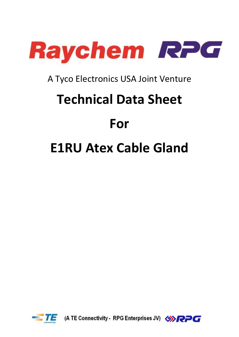

# A Tyco Electronics USA Joint Venture

# **Technical Data Sheet**

# **For**

# **E1RU Atex Cable Gland**



(A TE Connectivity - RPG Enterprises JV) <<a>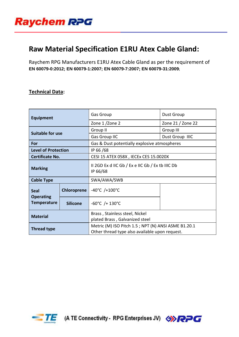

## **Raw Material Specification E1RU Atex Cable Gland:**

Raychem RPG Manufacturers E1RU Atex Cable Gland as per the requirement of **EN 60079-0:2012; EN 60079-1:2007; EN 60079-7:2007; EN 60079-31:2009;**

#### **Technical Data:**

| <b>Equipment</b>                                      |                 | <b>Gas Group</b>                                                 | Dust Group        |  |
|-------------------------------------------------------|-----------------|------------------------------------------------------------------|-------------------|--|
|                                                       |                 | Zone 1/Zone 2                                                    | Zone 21 / Zone 22 |  |
| <b>Suitable for use</b>                               |                 | Group II                                                         | Group III         |  |
|                                                       |                 | <b>Gas Group IIC</b>                                             | Dust Group IIIC   |  |
| For                                                   |                 | Gas & Dust potentially explosive atmospheres                     |                   |  |
| <b>Level of Protection</b>                            |                 | IP 66/68                                                         |                   |  |
| Certificate No.                                       |                 | CESI 15 ATEX 058X, IECEx CES 15.0020X                            |                   |  |
| <b>Marking</b>                                        |                 | II 2GD Ex d IIC Gb $/$ Ex e IIC Gb $/$ Ex tb IIIC Db<br>IP 66/68 |                   |  |
| <b>Cable Type</b>                                     |                 | SWA/AWA/SWB                                                      |                   |  |
| <b>Seal</b><br><b>Operating</b><br><b>Temperature</b> | Chloroprene     | $-40^{\circ}$ C /+100 $^{\circ}$ C                               |                   |  |
|                                                       | <b>Silicone</b> | $-60^{\circ}$ C /+ 130 $^{\circ}$ C                              |                   |  |
| <b>Material</b>                                       |                 | Brass, Stainless steel, Nickel                                   |                   |  |
|                                                       |                 | plated Brass, Galvanized steel                                   |                   |  |
| <b>Thread type</b>                                    |                 | Metric (M) ISO Pitch 1.5; NPT (N) ANSI ASME B1.20.1              |                   |  |
|                                                       |                 | Other thread type also available upon request.                   |                   |  |



(A TE Connectivity - RPG Enterprises JV) <<a>

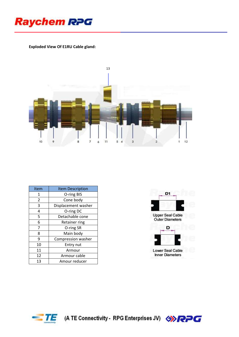

#### **Exploded View Of E1RU Cable gland:**



| Item           | <b>Item Description</b> |  |
|----------------|-------------------------|--|
| 1              | O-ring BIS              |  |
| $\overline{2}$ | Cone body               |  |
| 3              | Displacement washer     |  |
| 4              | O-ring DC               |  |
| 5              | Detachable cone         |  |
| 6              | Retainer ring           |  |
| 7              | O-ring SR               |  |
| 8              | Main body               |  |
| 9              | Compression washer      |  |
| 10             | Entry nut               |  |
| 11             | Armour                  |  |
| 12             | Armour cable            |  |
| 13             | Amour reducer           |  |





(A TE Connectivity - RPG Enterprises JV) <>>

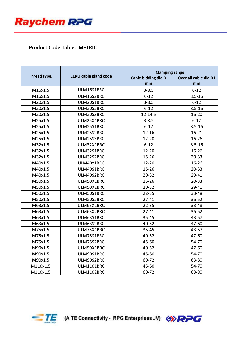

## **Product Code Table: METRIC**

|              |                              | <b>Clamping range</b> |                       |  |
|--------------|------------------------------|-----------------------|-----------------------|--|
| Thread type. | <b>E1RU cable gland code</b> | Cable bidding dia D   | Over all cable dia D1 |  |
|              |                              | mm                    | mm                    |  |
| M16x1.5      | ULM16S1BRC                   | $3 - 8.5$             | $6 - 12$              |  |
| M16x1.5      | ULM16S2BRC                   | $6 - 12$              | $8.5 - 16$            |  |
| M20x1.5      | ULM20S1BRC                   | $3 - 8.5$             | $6 - 12$              |  |
| M20x1.5      | ULM20S2BRC                   | $6 - 12$              | $8.5 - 16$            |  |
| M20x1.5      | ULM20S3BRC                   | 12-14.5               | $16 - 20$             |  |
| M25x1.5      | ULM25X1BRC                   | $3 - 8.5$             | $6 - 12$              |  |
| M25x1.5      | ULM25S1BRC                   | $6 - 12$              | $8.5 - 16$            |  |
| M25x1.5      | ULM25S2BRC                   | $12 - 16$             | $16 - 21$             |  |
| M25x1.5      | ULM25S3BRC                   | $12 - 20$             | $16 - 26$             |  |
| M32x1.5      | ULM32X1BRC                   | $6 - 12$              | $8.5 - 16$            |  |
| M32x1.5      | ULM32S1BRC                   | $12 - 20$             | $16 - 26$             |  |
| M32x1.5      | ULM32S2BRC                   | $15 - 26$             | $20 - 33$             |  |
| M40x1.5      | ULM40x1BRC                   | $12 - 20$             | $16 - 26$             |  |
| M40x1.5      | ULM40S1BRC                   | $15 - 26$             | $20 - 33$             |  |
| M40x1.5      | ULM40S2BRC                   | $20 - 32$             | 29-41                 |  |
| M50x1.5      | ULM50X1BRC                   | $15 - 26$             | $20 - 33$             |  |
| M50x1.5      | ULM50X2BRC                   | $20 - 32$             | 29-41                 |  |
| M50x1.5      | ULM50S1BRC                   | $22 - 35$             | 33-48                 |  |
| M50x1.5      | ULM50S2BRC                   | $27 - 41$             | 36-52                 |  |
| M63x1.5      | ULM63X1BRC                   | $22 - 35$             | 33-48                 |  |
| M63x1.5      | ULM63X2BRC                   | $27 - 41$             | 36-52                 |  |
| M63x1.5      | ULM63S1BRC                   | $35 - 45$             | 43-57                 |  |
| M63x1.5      | ULM63S2BRC                   | 40-52                 | 47-60                 |  |
| M75x1.5      | ULM75X1BRC                   | 35-45                 | 43-57                 |  |
| M75x1.5      | ULM75S1BRC                   | 40-52                 | 47-60                 |  |
| M75x1.5      | ULM75S2BRC                   | 45-60                 | 54-70                 |  |
| M90x1.5      | ULM90X1BRC                   | 40-52                 | 47-60                 |  |
| M90x1.5      | ULM90S1BRC                   | 45-60                 | 54-70                 |  |
| M90x1.5      | ULM90S2BRC                   | 60-72                 | 63-80                 |  |
| M110x1.5     | <b>ULM1101BRC</b>            | 45-60                 | 54-70                 |  |
| M110x1.5     | <b>ULM1102BRC</b>            | 60-72                 | 63-80                 |  |